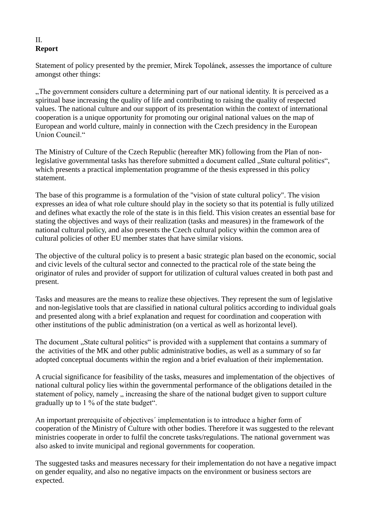## II. **Report**

Statement of policy presented by the premier, Mirek Topolánek, assesses the importance of culture amongst other things:

"The government considers culture a determining part of our national identity. It is perceived as a spiritual base increasing the quality of life and contributing to raising the quality of respected values. The national culture and our support of its presentation within the context of international cooperation is a unique opportunity for promoting our original national values on the map of European and world culture, mainly in connection with the Czech presidency in the European Union Council<sup>"</sup>

The Ministry of Culture of the Czech Republic (hereafter MK) following from the Plan of nonlegislative governmental tasks has therefore submitted a document called "State cultural politics", which presents a practical implementation programme of the thesis expressed in this policy statement.

The base of this programme is a formulation of the "vision of state cultural policy". The vision expresses an idea of what role culture should play in the society so that its potential is fully utilized and defines what exactly the role of the state is in this field. This vision creates an essential base for stating the objectives and ways of their realization (tasks and measures) in the framework of the national cultural policy, and also presents the Czech cultural policy within the common area of cultural policies of other EU member states that have similar visions.

The objective of the cultural policy is to present a basic strategic plan based on the economic, social and civic levels of the cultural sector and connected to the practical role of the state being the originator of rules and provider of support for utilization of cultural values created in both past and present.

Tasks and measures are the means to realize these objectives. They represent the sum of legislative and non-legislative tools that are classified in national cultural politics according to individual goals and presented along with a brief explanation and request for coordination and cooperation with other institutions of the public administration (on a vertical as well as horizontal level).

The document "State cultural politics" is provided with a supplement that contains a summary of the activities of the MK and other public administrative bodies, as well as a summary of so far adopted conceptual documents within the region and a brief evaluation of their implementation.

A crucial significance for feasibility of the tasks, measures and implementation of the objectives of national cultural policy lies within the governmental performance of the obligations detailed in the statement of policy, namely  $\alpha$ , increasing the share of the national budget given to support culture gradually up to 1 % of the state budget".

An important prerequisite of objectives´ implementation is to introduce a higher form of cooperation of the Ministry of Culture with other bodies. Therefore it was suggested to the relevant ministries cooperate in order to fulfil the concrete tasks/regulations. The national government was also asked to invite municipal and regional governments for cooperation.

The suggested tasks and measures necessary for their implementation do not have a negative impact on gender equality, and also no negative impacts on the environment or business sectors are expected.